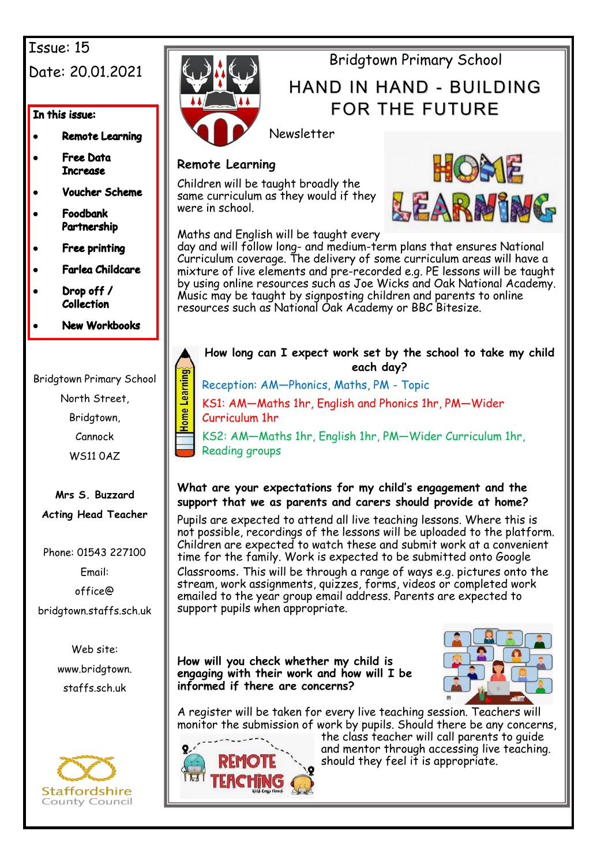## Issue: 15 Date: 20.01.2021

#### In this issue:

- **Remote Learning**
- **Free Data Increase**
- **Voucher Scheme**
- Foodbank Partnership
- **Free printing**
- Farlea Childcare
- Drop off / **Collection**
- **New Workbooks**

Bridgtown Primary School

North Street,

Bridgtown,

Cannock

WS11 0AZ

#### **Mrs S. Buzzard Acting Head Teacher**

Phone: 01543 227100

Email: office@

bridgtown.staffs.sch.uk

Web site: www.bridgtown. staffs.sch.uk





## Bridgtown Primary School

## HAND IN HAND - BUILDING FOR THE FUTURE

Newsletter

#### **Remote Learning**

Children will be taught broadly the same curriculum as they would if they were in school.



Maths and English will be taught every

day and will follow long- and medium-term plans that ensures National Curriculum coverage. The delivery of some curriculum areas will have a mixture of live elements and pre-recorded e.g. PE lessons will be taught by using online resources such as Joe Wicks and Oak National Academy. Music may be taught by signposting children and parents to online resources such as National Oak Academy or BBC Bitesize.

# **How long can I expect work set by the school to take my child each day?**  Home Learning

Reception: AM—Phonics, Maths, PM - Topic

KS1: AM—Maths 1hr, English and Phonics 1hr, PM—Wider Curriculum 1hr

KS2: AM—Maths 1hr, English 1hr, PM—Wider Curriculum 1hr, Reading groups

#### **What are your expectations for my child's engagement and the support that we as parents and carers should provide at home?**

Pupils are expected to attend all live teaching lessons. Where this is not possible, recordings of the lessons will be uploaded to the platform. Children are expected to watch these and submit work at a convenient time for the family. Work is expected to be submitted onto Google

Classrooms. This will be through a range of ways e.g. pictures onto the stream, work assignments, quizzes, forms, videos or completed work emailed to the year group email address. Parents are expected to support pupils when appropriate.

**How will you check whether my child is engaging with their work and how will I be informed if there are concerns?** 



A register will be taken for every live teaching session. Teachers will monitor the submission of work by pupils. Should there be any concerns,



the class teacher will call parents to quide and mentor through accessing live teaching. should they feel it is appropriate.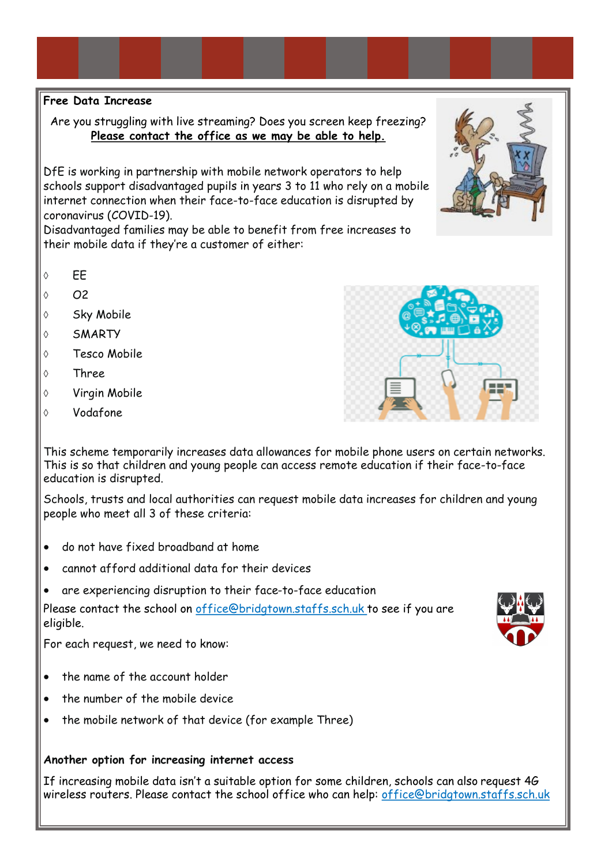#### **Free Data Increase**

Are you struggling with live streaming? Does you screen keep freezing? **Please contact the office as we may be able to help.**

DfE is working in partnership with mobile network operators to help schools support disadvantaged pupils in years 3 to 11 who rely on a mobile internet connection when their face-to-face education is disrupted by coronavirus (COVID-19).

Disadvantaged families may be able to benefit from free increases to their mobile data if they're a customer of either:

- $\circ$  FF
- $\circ$   $\Omega$
- ♦ Sky Mobile
- SMARTY
- Tesco Mobile
- Three
- Virgin Mobile
- Vodafone

This scheme temporarily increases data allowances for mobile phone users on certain networks. This is so that children and young people can access remote education if their face-to-face education is disrupted.

Schools, trusts and local authorities can request mobile data increases for children and young people who meet all 3 of these criteria:

- do not have fixed broadband at home
- cannot afford additional data for their devices
- are experiencing disruption to their face-to-face education

Please contact the school on office@bridgtown.staffs.sch.uk to see if you are eligible.

For each request, we need to know:

- the name of the account holder
- the number of the mobile device
- the mobile network of that device (for example Three)

#### **Another option for increasing internet access**

If increasing mobile data isn't a suitable option for some children, schools can also [request 4G](https://get-help-with-tech.education.gov.uk/how-to-request-4g-wireless-routers)  [wireless routers.](https://get-help-with-tech.education.gov.uk/how-to-request-4g-wireless-routers) Please contact the school office who can help: office@bridgtown.staffs.sch.uk